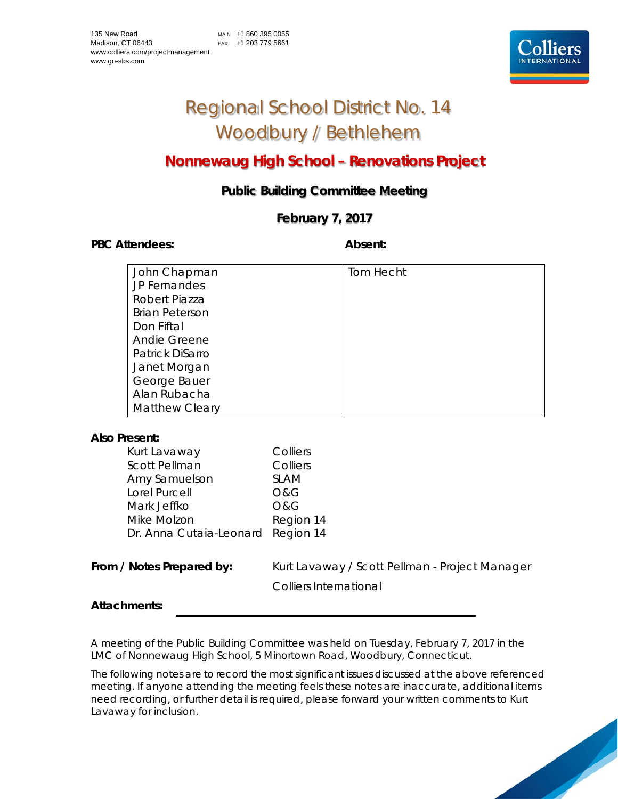

# Regional School District No. 14 Woodbury / Bethlehem

# **Nonnewaug High School – Renovations Project**

# **Public Building Committee Meeting**

# **February 7, 2017**

PBC Attendees: **Absent: Absent: Absent: Absent:** 

| John Chapman          | Tom Hecht |
|-----------------------|-----------|
| JP Fernandes          |           |
| Robert Piazza         |           |
| <b>Brian Peterson</b> |           |
| Don Fiftal            |           |
| Andie Greene          |           |
| Patrick DiSarro       |           |
| Janet Morgan          |           |
| George Bauer          |           |
| Alan Rubacha          |           |
| <b>Matthew Cleary</b> |           |

## **Also Present:**

| Kurt Lavaway                      | Colliers    |
|-----------------------------------|-------------|
| <b>Scott Pellman</b>              | Colliers    |
| Amy Samuelson                     | <b>SLAM</b> |
| Lorel Purcell                     | O&G         |
| Mark Jeffko                       | O&G         |
| Mike Molzon                       | Region 14   |
| Dr. Anna Cutaia-Leonard Region 14 |             |

From / Notes Prepared by: Kurt Lavaway / Scott Pellman - Project Manager Colliers International

## **Attachments:**

A meeting of the Public Building Committee was held on Tuesday, February 7, 2017 in the LMC of Nonnewaug High School, 5 Minortown Road, Woodbury, Connecticut.

The following notes are to record the most significant issues discussed at the above referenced meeting. If anyone attending the meeting feels these notes are inaccurate, additional items need recording, or further detail is required, please forward your written comments to Kurt Lavaway for inclusion.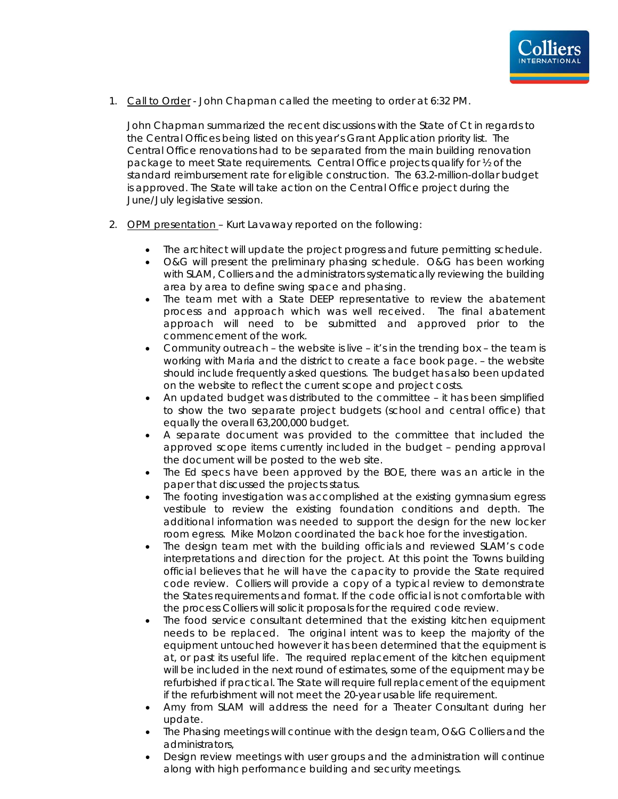

1. Call to Order - John Chapman called the meeting to order at 6:32 PM.

John Chapman summarized the recent discussions with the State of Ct in regards to the Central Offices being listed on this year's Grant Application priority list. The Central Office renovations had to be separated from the main building renovation package to meet State requirements. Central Office projects qualify for ½ of the standard reimbursement rate for eligible construction. The 63.2-million-dollar budget is approved. The State will take action on the Central Office project during the June/July legislative session.

- 2. OPM presentation Kurt Lavaway reported on the following:
	- The architect will update the project progress and future permitting schedule.
	- O&G will present the preliminary phasing schedule. O&G has been working with SLAM, Colliers and the administrators systematically reviewing the building area by area to define swing space and phasing.
	- The team met with a State DEEP representative to review the abatement process and approach which was well received. The final abatement approach will need to be submitted and approved prior to the commencement of the work.
	- Community outreach the website is live it's in the trending box the team is working with Maria and the district to create a face book page. – the website should include frequently asked questions. The budget has also been updated on the website to reflect the current scope and project costs.
	- An updated budget was distributed to the committee it has been simplified to show the two separate project budgets (school and central office) that equally the overall 63,200,000 budget.
	- A separate document was provided to the committee that included the approved scope items currently included in the budget – pending approval the document will be posted to the web site.
	- The Ed specs have been approved by the BOE, there was an article in the paper that discussed the projects status.
	- The footing investigation was accomplished at the existing gymnasium egress vestibule to review the existing foundation conditions and depth. The additional information was needed to support the design for the new locker room egress. Mike Molzon coordinated the back hoe for the investigation.
	- The design team met with the building officials and reviewed SLAM's code interpretations and direction for the project. At this point the Towns building official believes that he will have the capacity to provide the State required code review. Colliers will provide a copy of a typical review to demonstrate the States requirements and format. If the code official is not comfortable with the process Colliers will solicit proposals for the required code review.
	- The food service consultant determined that the existing kitchen equipment needs to be replaced. The original intent was to keep the majority of the equipment untouched however it has been determined that the equipment is at, or past its useful life. The required replacement of the kitchen equipment will be included in the next round of estimates, some of the equipment may be refurbished if practical. The State will require full replacement of the equipment if the refurbishment will not meet the 20-year usable life requirement.
	- Amy from SLAM will address the need for a Theater Consultant during her update.
	- The Phasing meetings will continue with the design team, O&G Colliers and the administrators,
	- Design review meetings with user groups and the administration will continue along with high performance building and security meetings.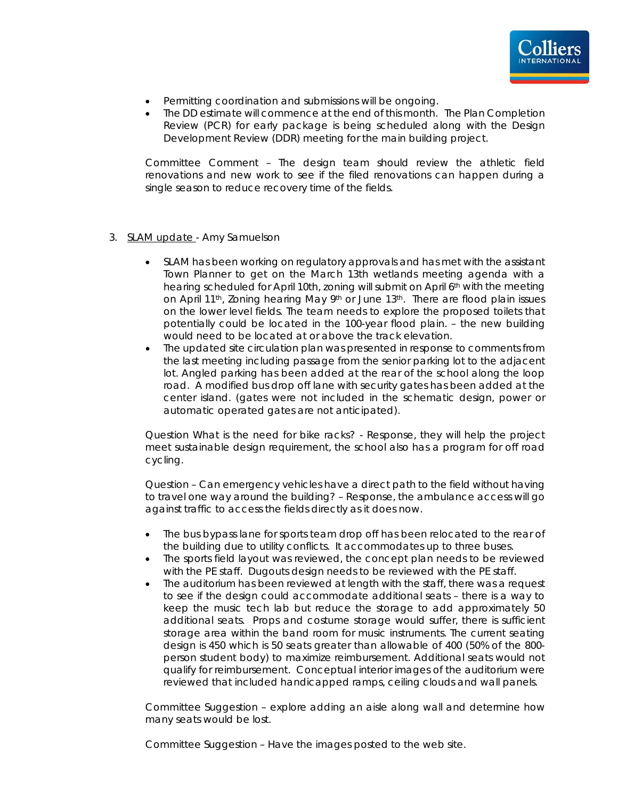

- Permitting coordination and submissions will be ongoing.
- The DD estimate will commence at the end of this month. The Plan Completion Review (PCR) for early package is being scheduled along with the Design Development Review (DDR) meeting for the main building project.

Committee Comment – The design team should review the athletic field renovations and new work to see if the filed renovations can happen during a single season to reduce recovery time of the fields.

- 3. SLAM update Amy Samuelson
	- SLAM has been working on regulatory approvals and has met with the assistant Town Planner to get on the March 13th wetlands meeting agenda with a hearing scheduled for April 10th, zoning will submit on April 6th with the meeting on April 11<sup>th</sup>, Zoning hearing May 9<sup>th</sup> or June 13<sup>th</sup>. There are flood plain issues on the lower level fields. The team needs to explore the proposed toilets that potentially could be located in the 100-year flood plain. – the new building would need to be located at or above the track elevation.
	- The updated site circulation plan was presented in response to comments from the last meeting including passage from the senior parking lot to the adjacent lot. Angled parking has been added at the rear of the school along the loop road. A modified bus drop off lane with security gates has been added at the center island. (gates were not included in the schematic design, power or automatic operated gates are not anticipated).

Question What is the need for bike racks? - Response, they will help the project meet sustainable design requirement, the school also has a program for off road cycling.

Question – Can emergency vehicles have a direct path to the field without having to travel one way around the building? – Response, the ambulance access will go against traffic to access the fields directly as it does now.

- The bus bypass lane for sports team drop off has been relocated to the rear of the building due to utility conflicts. It accommodates up to three buses.
- The sports field layout was reviewed, the concept plan needs to be reviewed with the PE staff. Dugouts design needs to be reviewed with the PE staff.
- The auditorium has been reviewed at length with the staff, there was a request to see if the design could accommodate additional seats – there is a way to keep the music tech lab but reduce the storage to add approximately 50 additional seats. Props and costume storage would suffer, there is sufficient storage area within the band room for music instruments. The current seating design is 450 which is 50 seats greater than allowable of 400 (50% of the 800 person student body) to maximize reimbursement. Additional seats would not qualify for reimbursement. Conceptual interior images of the auditorium were reviewed that included handicapped ramps, ceiling clouds and wall panels.

Committee Suggestion – explore adding an aisle along wall and determine how many seats would be lost.

Committee Suggestion – Have the images posted to the web site.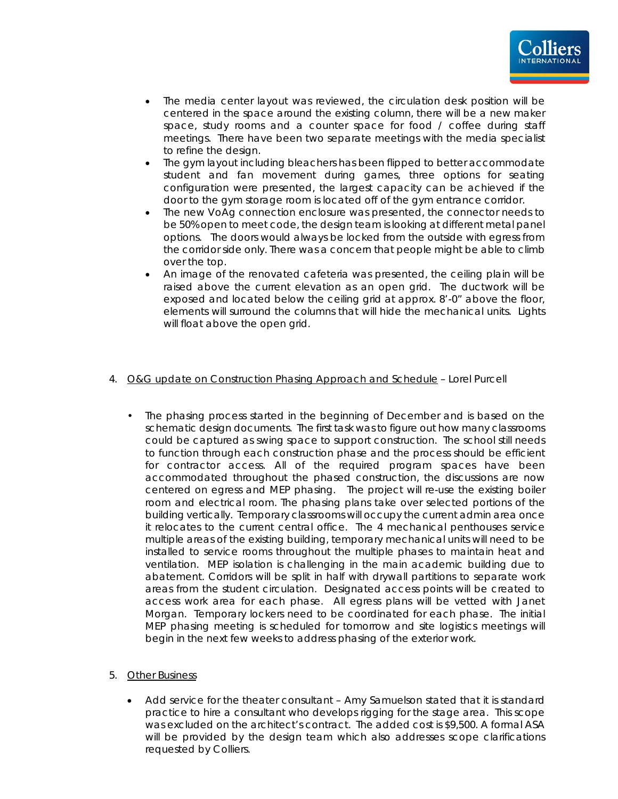

- The media center layout was reviewed, the circulation desk position will be centered in the space around the existing column, there will be a new maker space, study rooms and a counter space for food / coffee during staff meetings. There have been two separate meetings with the media specialist to refine the design.
- The gym layout including bleachers has been flipped to better accommodate student and fan movement during games, three options for seating configuration were presented, the largest capacity can be achieved if the door to the gym storage room is located off of the gym entrance corridor.
- The new VoAg connection enclosure was presented, the connector needs to be 50% open to meet code, the design team is looking at different metal panel options. The doors would always be locked from the outside with egress from the corridor side only. There was a concern that people might be able to climb over the top.
- An image of the renovated cafeteria was presented, the ceiling plain will be raised above the current elevation as an open grid. The ductwork will be exposed and located below the ceiling grid at approx. 8'-0" above the floor, elements will surround the columns that will hide the mechanical units. Lights will float above the open grid.

### 4. O&G update on Construction Phasing Approach and Schedule – Lorel Purcell

• The phasing process started in the beginning of December and is based on the schematic design documents. The first task was to figure out how many classrooms could be captured as swing space to support construction. The school still needs to function through each construction phase and the process should be efficient for contractor access. All of the required program spaces have been accommodated throughout the phased construction, the discussions are now centered on egress and MEP phasing. The project will re-use the existing boiler room and electrical room. The phasing plans take over selected portions of the building vertically. Temporary classrooms will occupy the current admin area once it relocates to the current central office. The 4 mechanical penthouses service multiple areas of the existing building, temporary mechanical units will need to be installed to service rooms throughout the multiple phases to maintain heat and ventilation. MEP isolation is challenging in the main academic building due to abatement. Corridors will be split in half with drywall partitions to separate work areas from the student circulation. Designated access points will be created to access work area for each phase. All egress plans will be vetted with Janet Morgan. Temporary lockers need to be coordinated for each phase. The initial MEP phasing meeting is scheduled for tomorrow and site logistics meetings will begin in the next few weeks to address phasing of the exterior work.

### 5. Other Business

• Add service for the theater consultant – Amy Samuelson stated that it is standard practice to hire a consultant who develops rigging for the stage area. This scope was excluded on the architect's contract. The added cost is \$9,500. A formal ASA will be provided by the design team which also addresses scope clarifications requested by Colliers.